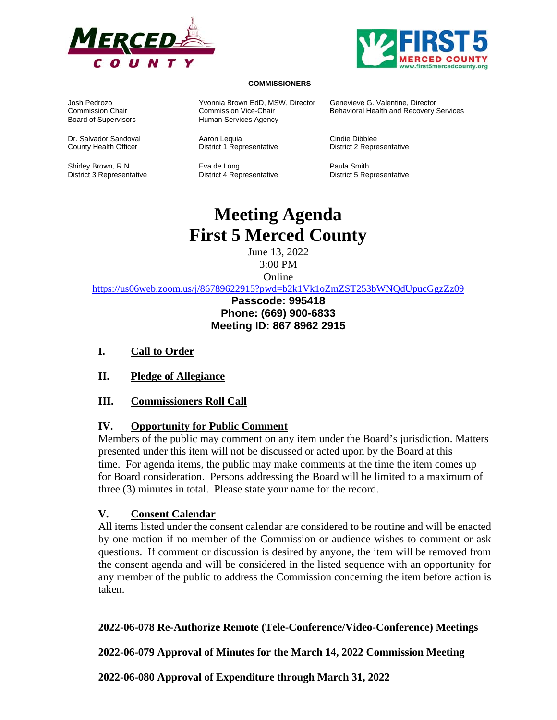



#### **COMMISSIONERS**

Board of Supervisors **Human Services Agency** 

Shirley Brown, R.N. **Eva de Long Paula Smith Paula Smith** District 3 Representative District 4 Representative District 5 Representative

Josh Pedrozo Yvonnia Brown EdD, MSW, Director Genevieve G. Valentine, Director

District 1 Representative

Behavioral Health and Recovery Services

Dr. Salvador Sandoval Aaron Lequia Cindie Dibblee County Health Officer District 1 Representative District 2 Representative

# **Meeting Agenda First 5 Merced County**

June 13, 2022 3:00 PM Online

https://us06web.zoom.us/j/86789622915?pwd=b2k1Vk1oZmZST253bWNQdUpucGgzZz09

# **Passcode: 995418 Phone: (669) 900-6833 Meeting ID: 867 8962 2915**

- **I. Call to Order**
- **II. Pledge of Allegiance**
- **III. Commissioners Roll Call**

#### **IV. Opportunity for Public Comment**

Members of the public may comment on any item under the Board's jurisdiction. Matters presented under this item will not be discussed or acted upon by the Board at this time. For agenda items, the public may make comments at the time the item comes up for Board consideration. Persons addressing the Board will be limited to a maximum of three (3) minutes in total. Please state your name for the record.

#### **V. Consent Calendar**

All items listed under the consent calendar are considered to be routine and will be enacted by one motion if no member of the Commission or audience wishes to comment or ask questions. If comment or discussion is desired by anyone, the item will be removed from the consent agenda and will be considered in the listed sequence with an opportunity for any member of the public to address the Commission concerning the item before action is taken.

#### **2022-06-078 Re-Authorize Remote (Tele-Conference/Video-Conference) Meetings**

**2022-06-079 Approval of Minutes for the March 14, 2022 Commission Meeting** 

**2022-06-080 Approval of Expenditure through March 31, 2022**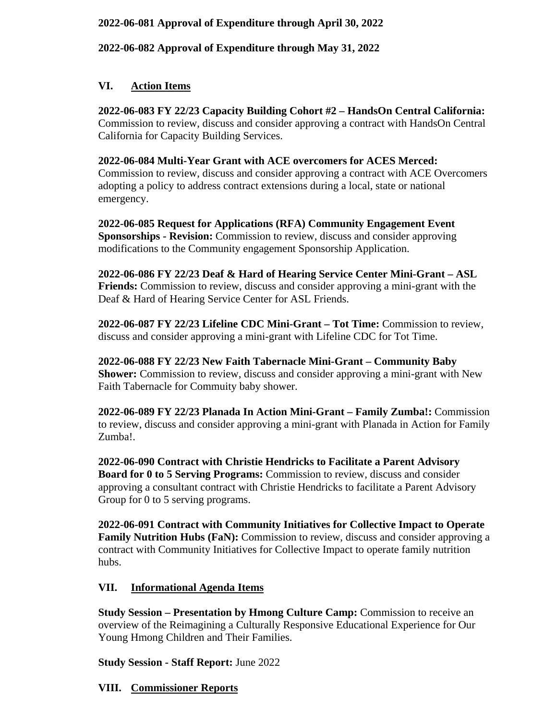### **2022-06-081 Approval of Expenditure through April 30, 2022**

**2022-06-082 Approval of Expenditure through May 31, 2022** 

### **VI. Action Items**

**2022-06-083 FY 22/23 Capacity Building Cohort #2 – HandsOn Central California:**  Commission to review, discuss and consider approving a contract with HandsOn Central California for Capacity Building Services.

#### **2022-06-084 Multi-Year Grant with ACE overcomers for ACES Merced:**

Commission to review, discuss and consider approving a contract with ACE Overcomers adopting a policy to address contract extensions during a local, state or national emergency.

**2022-06-085 Request for Applications (RFA) Community Engagement Event Sponsorships - Revision:** Commission to review, discuss and consider approving modifications to the Community engagement Sponsorship Application.

**2022-06-086 FY 22/23 Deaf & Hard of Hearing Service Center Mini-Grant – ASL Friends:** Commission to review, discuss and consider approving a mini-grant with the Deaf & Hard of Hearing Service Center for ASL Friends.

**2022-06-087 FY 22/23 Lifeline CDC Mini-Grant – Tot Time:** Commission to review, discuss and consider approving a mini-grant with Lifeline CDC for Tot Time.

**2022-06-088 FY 22/23 New Faith Tabernacle Mini-Grant – Community Baby Shower:** Commission to review, discuss and consider approving a mini-grant with New Faith Tabernacle for Commuity baby shower.

**2022-06-089 FY 22/23 Planada In Action Mini-Grant – Family Zumba!:** Commission to review, discuss and consider approving a mini-grant with Planada in Action for Family Zumba!.

**2022-06-090 Contract with Christie Hendricks to Facilitate a Parent Advisory Board for 0 to 5 Serving Programs:** Commission to review, discuss and consider approving a consultant contract with Christie Hendricks to facilitate a Parent Advisory Group for 0 to 5 serving programs.

**2022-06-091 Contract with Community Initiatives for Collective Impact to Operate Family Nutrition Hubs (FaN):** Commission to review, discuss and consider approving a contract with Community Initiatives for Collective Impact to operate family nutrition hubs.

# **VII. Informational Agenda Items**

**Study Session – Presentation by Hmong Culture Camp:** Commission to receive an overview of the Reimagining a Culturally Responsive Educational Experience for Our Young Hmong Children and Their Families.

**Study Session - Staff Report:** June 2022

#### **VIII. Commissioner Reports**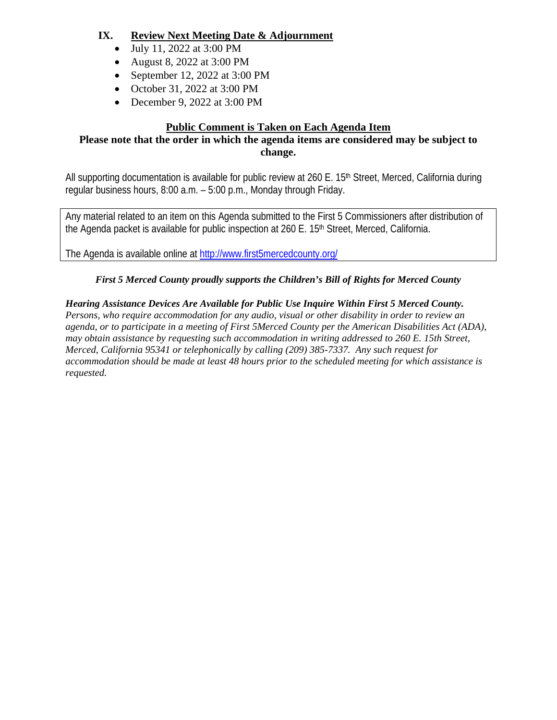# **IX. Review Next Meeting Date & Adjournment**

- July 11, 2022 at 3:00 PM
- August 8, 2022 at 3:00 PM
- September 12, 2022 at  $3:00 \text{ PM}$
- October 31, 2022 at 3:00 PM
- December 9, 2022 at 3:00 PM

# **Public Comment is Taken on Each Agenda Item**

#### **Please note that the order in which the agenda items are considered may be subject to change.**

All supporting documentation is available for public review at 260 E. 15<sup>th</sup> Street, Merced, California during regular business hours, 8:00 a.m. – 5:00 p.m., Monday through Friday.

Any material related to an item on this Agenda submitted to the First 5 Commissioners after distribution of the Agenda packet is available for public inspection at 260 E. 15<sup>th</sup> Street, Merced, California.

The Agenda is available online at http://www.first5mercedcounty.org/

# *First 5 Merced County proudly supports the Children's Bill of Rights for Merced County*

# *Hearing Assistance Devices Are Available for Public Use Inquire Within First 5 Merced County.*

*Persons, who require accommodation for any audio, visual or other disability in order to review an agenda, or to participate in a meeting of First 5Merced County per the American Disabilities Act (ADA), may obtain assistance by requesting such accommodation in writing addressed to 260 E. 15th Street, Merced, California 95341 or telephonically by calling (209) 385-7337. Any such request for accommodation should be made at least 48 hours prior to the scheduled meeting for which assistance is requested.*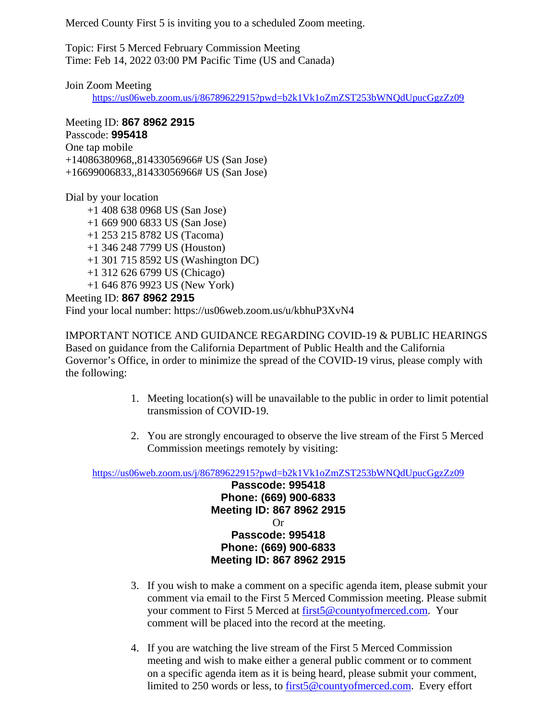Merced County First 5 is inviting you to a scheduled Zoom meeting.

Topic: First 5 Merced February Commission Meeting Time: Feb 14, 2022 03:00 PM Pacific Time (US and Canada)

Join Zoom Meeting

https://us06web.zoom.us/j/86789622915?pwd=b2k1Vk1oZmZST253bWNQdUpucGgzZz09

Meeting ID: **867 8962 2915** Passcode: **995418** One tap mobile +14086380968,,81433056966# US (San Jose) +16699006833,,81433056966# US (San Jose)

Dial by your location

 +1 408 638 0968 US (San Jose) +1 669 900 6833 US (San Jose) +1 253 215 8782 US (Tacoma) +1 346 248 7799 US (Houston) +1 301 715 8592 US (Washington DC) +1 312 626 6799 US (Chicago) +1 646 876 9923 US (New York) Meeting ID: **867 8962 2915**

Find your local number: https://us06web.zoom.us/u/kbhuP3XvN4

IMPORTANT NOTICE AND GUIDANCE REGARDING COVID-19 & PUBLIC HEARINGS Based on guidance from the California Department of Public Health and the California Governor's Office, in order to minimize the spread of the COVID-19 virus, please comply with the following:

- 1. Meeting location(s) will be unavailable to the public in order to limit potential transmission of COVID-19.
- 2. You are strongly encouraged to observe the live stream of the First 5 Merced Commission meetings remotely by visiting:

https://us06web.zoom.us/j/86789622915?pwd=b2k1Vk1oZmZST253bWNQdUpucGgzZz09

**Passcode: 995418 Phone: (669) 900-6833 Meeting ID: 867 8962 2915**  Or **Passcode: 995418 Phone: (669) 900-6833 Meeting ID: 867 8962 2915** 

- 3. If you wish to make a comment on a specific agenda item, please submit your comment via email to the First 5 Merced Commission meeting. Please submit your comment to First 5 Merced at first5@countyofmerced.com. Your comment will be placed into the record at the meeting.
- 4. If you are watching the live stream of the First 5 Merced Commission meeting and wish to make either a general public comment or to comment on a specific agenda item as it is being heard, please submit your comment, limited to 250 words or less, to first5@countyofmerced.com. Every effort